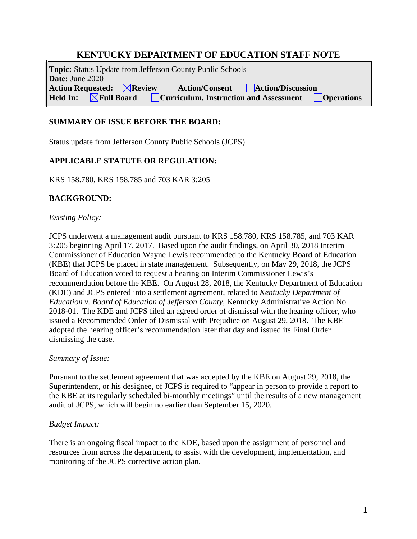# **KENTUCKY DEPARTMENT OF EDUCATION STAFF NOTE**

**Topic:** Status Update from Jefferson County Public Schools **Date:** June 2020 Action Requested: *Action Review Action/Consent* **<b>***Action/Discussion Aled In: AFull Board Curriculum, Instruction and Assessment Curriculum <b>* **Held Eurriculum, Instruction and Assessment** 

### **SUMMARY OF ISSUE BEFORE THE BOARD:**

Status update from Jefferson County Public Schools (JCPS).

## **APPLICABLE STATUTE OR REGULATION:**

KRS 158.780, KRS 158.785 and 703 KAR 3:205

## **BACKGROUND:**

### *Existing Policy:*

JCPS underwent a management audit pursuant to KRS 158.780, KRS 158.785, and 703 KAR 3:205 beginning April 17, 2017. Based upon the audit findings, on April 30, 2018 Interim Commissioner of Education Wayne Lewis recommended to the Kentucky Board of Education (KBE) that JCPS be placed in state management. Subsequently, on May 29, 2018, the JCPS Board of Education voted to request a hearing on Interim Commissioner Lewis's recommendation before the KBE. On August 28, 2018, the Kentucky Department of Education (KDE) and JCPS entered into a settlement agreement, related to *Kentucky Department of Education v. Board of Education of Jefferson County*, Kentucky Administrative Action No. 2018-01. The KDE and JCPS filed an agreed order of dismissal with the hearing officer, who issued a Recommended Order of Dismissal with Prejudice on August 29, 2018. The KBE adopted the hearing officer's recommendation later that day and issued its Final Order dismissing the case.

### *Summary of Issue:*

Pursuant to the settlement agreement that was accepted by the KBE on August 29, 2018, the Superintendent, or his designee, of JCPS is required to "appear in person to provide a report to the KBE at its regularly scheduled bi-monthly meetings" until the results of a new management audit of JCPS, which will begin no earlier than September 15, 2020.

### *Budget Impact:*

There is an ongoing fiscal impact to the KDE, based upon the assignment of personnel and resources from across the department, to assist with the development, implementation, and monitoring of the JCPS corrective action plan.